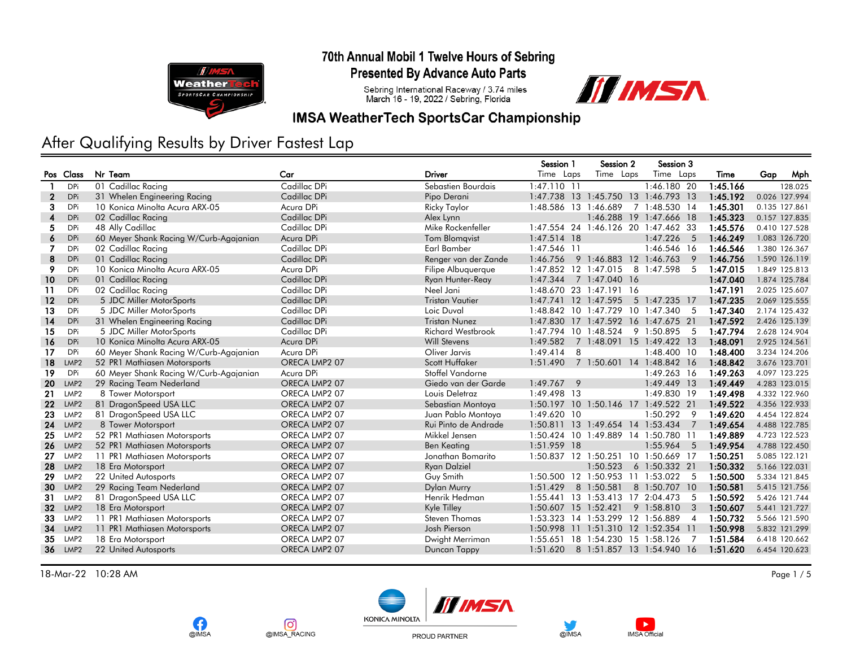



**Presented By Advance Auto Parts** 





### **IMSA WeatherTech SportsCar Championship**

# After Qualifying Results by Driver Fastest Lap

**OIMSA** 

<u>ଚ</u>

@IMSA\_RACING

|                         |                  |                                        |               |                          | Session 1            | Session 2                           | Session 3              |          |               |
|-------------------------|------------------|----------------------------------------|---------------|--------------------------|----------------------|-------------------------------------|------------------------|----------|---------------|
|                         | Pos Class        | Nr Team                                | Car           | <b>Driver</b>            | Time Laps            | Time Laps                           | Time Laps              | Time     | Gap<br>Mph    |
|                         | <b>DPi</b>       | 01 Cadillac Racing                     | Cadillac DPi  | Sebastien Bourdais       | 1:47.110 11          |                                     | 1:46.180 20            | 1:45.166 | 128.025       |
| $\mathbf{2}$            | <b>DPi</b>       | 31 Whelen Engineering Racing           | Cadillac DPi  | Pipo Derani              |                      | 1:47.738 13 1:45.750 13 1:46.793 13 |                        | 1:45.192 | 0.026 127.994 |
| 3                       | <b>DPi</b>       | 10 Konica Minolta Acura ARX-05         | Acura DPi     | Ricky Taylor             | 1:48.586 13 1:46.689 |                                     | 7 1:48.530 14          | 1:45.301 | 0.135 127.861 |
| $\overline{\mathbf{4}}$ | <b>DPi</b>       | 02 Cadillac Racina                     | Cadillac DPi  | Alex Lynn                |                      | 1:46.288 19 1:47.666 18             |                        | 1:45.323 | 0.157 127.835 |
| 5.                      | <b>DPi</b>       | 48 Ally Cadillac                       | Cadillac DPi  | Mike Rockenfeller        |                      | 1:47.554 24 1:46.126 20 1:47.462 33 |                        | 1:45.576 | 0.410 127.528 |
| 6                       | <b>DPi</b>       | 60 Meyer Shank Racing W/Curb-Agajanian | Acura DPi     | Tom Blomqvist            | $1:47.514$ 18        |                                     | 1:47.226<br>5          | 1:46.249 | 1.083 126.720 |
| 7                       | DPi              | 02 Cadillac Racing                     | Cadillac DPi  | <b>Earl Bamber</b>       | 1:47.546 11          |                                     | 1:46.546 16            | 1:46.546 | 1.380 126.367 |
| 8                       | DPi              | 01 Cadillac Racing                     | Cadillac DPi  | Renger van der Zande     | 1:46.756             | 9 1:46.883 12 1:46.763              | 9                      | 1:46.756 | 1.590 126.119 |
| 9                       | DPi              | 10 Konica Minolta Acura ARX-05         | Acura DPi     | Filipe Albuquerque       | 1:47.852 12 1:47.015 |                                     | 8 1:47.598<br>5        | 1:47.015 | 1.849 125.813 |
| 10                      | DPi              | 01 Cadillac Racing                     | Cadillac DPi  | <b>Ryan Hunter-Reay</b>  | 1:47.344             | 7 1:47.040 16                       |                        | 1:47.040 | 1.874 125.784 |
| 11                      | <b>DPi</b>       | 02 Cadillac Racing                     | Cadillac DPi  | Neel Jani                | 1:48.670 23 1:47.191 | - 16                                |                        | 1:47.191 | 2.025 125.607 |
| 12                      | <b>DPi</b>       | 5 JDC Miller MotorSports               | Cadillac DPi  | <b>Tristan Vautier</b>   | 1:47.741 12 1:47.595 |                                     | 5 1:47.235 17          | 1:47.235 | 2.069 125.555 |
| 13                      | <b>DPi</b>       | 5 JDC Miller MotorSports               | Cadillac DPi  | Loic Duval               | 1:48.842 10 1:47.729 |                                     | 10 1:47.340<br>5       | 1:47.340 | 2.174 125.432 |
| 14                      | <b>DPi</b>       | 31 Whelen Engineering Racing           | Cadillac DPi  | <b>Tristan Nunez</b>     |                      | 1:47.830 17 1:47.592 16 1:47.675 21 |                        | 1:47.592 | 2.426 125.139 |
| 15                      | <b>DPi</b>       | 5 JDC Miller MotorSports               | Cadillac DPi  | <b>Richard Westbrook</b> | 1:47.794 10 1:48.524 |                                     | 9 1:50.895<br>5        | 1:47.794 | 2.628 124.904 |
| 16                      | <b>DPi</b>       | 10 Konica Minolta Acura ARX-05         | Acura DPi     | <b>Will Stevens</b>      | 1:49.582             | 7 1:48.091 15 1:49.422 13           |                        | 1:48.091 | 2.925 124.561 |
| 17                      | <b>DPi</b>       | 60 Meyer Shank Racing W/Curb-Agajanian | Acura DPi     | Oliver Jarvis            | 8<br>1:49.414        |                                     | 1:48.400 10            | 1:48.400 | 3.234 124.206 |
| 18                      | LMP <sub>2</sub> | 52 PR1 Mathiasen Motorsports           | ORECA LMP2 07 | Scott Huffaker           | 1:51.490             | 7 1:50.601 14 1:48.842 16           |                        | 1:48.842 | 3.676 123.701 |
| 19                      | <b>DPi</b>       | 60 Meyer Shank Racing W/Curb-Agajanian | Acura DPi     | Stoffel Vandorne         |                      |                                     | 1:49.263 16            | 1:49.263 | 4.097 123.225 |
| 20                      | LMP <sub>2</sub> | 29 Racing Team Nederland               | ORECA LMP2 07 | Giedo van der Garde      | $1:49.767$ 9         |                                     | 1:49.449 13            | 1:49.449 | 4.283 123.015 |
| 21                      | LMP <sub>2</sub> | 8 Tower Motorsport                     | ORECA LMP2 07 | Louis Deletraz           | 1:49.498 13          |                                     | 1:49.830 19            | 1:49.498 | 4.332 122.960 |
| 22                      | LMP <sub>2</sub> | 81 DragonSpeed USA LLC                 | ORECA LMP2 07 | Sebastian Montoya        | 1:50.197             | 10 1:50.146 17                      | 1:49.522 21            | 1:49.522 | 4.356 122.933 |
| 23                      | LMP <sub>2</sub> | 81 DragonSpeed USA LLC                 | ORECA LMP2 07 | Juan Pablo Montoya       | 1:49.620 10          |                                     | 1:50.292<br>-9         | 1:49.620 | 4.454 122.824 |
| 24                      | LMP <sub>2</sub> | 8 Tower Motorsport                     | ORECA LMP2 07 | Rui Pinto de Andrade     |                      | 1:50.811 13 1:49.654 14 1:53.434    | $\overline{7}$         | 1:49.654 | 4.488 122.785 |
| 25                      | LMP <sub>2</sub> | 52 PR1 Mathiasen Motorsports           | ORECA LMP2 07 | Mikkel Jensen            |                      | 1:50.424 10 1:49.889 14 1:50.780 11 |                        | 1:49.889 | 4.723 122.523 |
| 26                      | LMP <sub>2</sub> | 52 PR1 Mathiasen Motorsports           | ORECA LMP2 07 | <b>Ben Keating</b>       | 1:51.959 18          |                                     | 1:55.964<br>5          | 1:49.954 | 4.788 122.450 |
| 27                      | LMP <sub>2</sub> | 11 PR1 Mathiasen Motorsports           | ORECA LMP2 07 | Jonathan Bomarito        | 1:50.837 12 1:50.251 |                                     | 10 1:50.669 17         | 1:50.251 | 5.085 122.121 |
| 28                      | LMP <sub>2</sub> | 18 Era Motorsport                      | ORECA LMP2 07 | <b>Ryan Dalziel</b>      |                      | 1:50.523                            | 6 1:50.332 21          | 1:50.332 | 5.166 122.031 |
| 29                      | LMP <sub>2</sub> | 22 United Autosports                   | ORECA LMP2 07 | Guy Smith                |                      | 1:50.500 12 1:50.953 11 1:53.022    | -5                     | 1:50.500 | 5.334 121.845 |
| 30                      | LMP <sub>2</sub> | 29 Racing Team Nederland               | ORECA LMP2 07 | Dylan Murry              | 1:51.429             | 8 1:50.581                          | 8 1:50.707 10          | 1:50.581 | 5.415 121.756 |
| 31                      | LMP <sub>2</sub> | 81 DragonSpeed USA LLC                 | ORECA LMP2 07 | Henrik Hedman            | 1:55.441             | 13 1:53.413 17 2:04.473             | 5                      | 1:50.592 | 5.426 121.744 |
| 32                      | LMP <sub>2</sub> | 18 Era Motorsport                      | ORECA LMP2 07 | Kyle Tilley              | 1:50.607             | 15 1:52.421                         | 9 1:58.810<br>3        | 1:50.607 | 5.441 121.727 |
| 33                      | LMP <sub>2</sub> | 11 PR1 Mathiasen Motorsports           | ORECA LMP2 07 | Steven Thomas            |                      | 1:53.323 14 1:53.299 12 1:56.889    | $\boldsymbol{\Lambda}$ | 1:50.732 | 5.566 121.590 |
| 34                      | LMP <sub>2</sub> | 11 PR1 Mathiasen Motorsports           | ORECA LMP2 07 | Josh Pierson             |                      | 1:50.998 11 1:51.310 12 1:52.354 11 |                        | 1:50.998 | 5.832 121.299 |
| 35                      | LMP <sub>2</sub> | 18 Era Motorsport                      | ORECA LMP2 07 | Dwight Merriman          | 1:55.651             | 18 1:54.230 15 1:58.126             | 7                      | 1:51.584 | 6.418 120.662 |
| 36                      | LMP <sub>2</sub> | 22 United Autosports                   | ORECA LMP2 07 | Duncan Tappy             |                      | 1:51.620 8 1:51.857 13 1:54.940 16  |                        | 1:51.620 | 6.454 120.623 |

18-Mar-22 10:28 AM Page 1 / 5





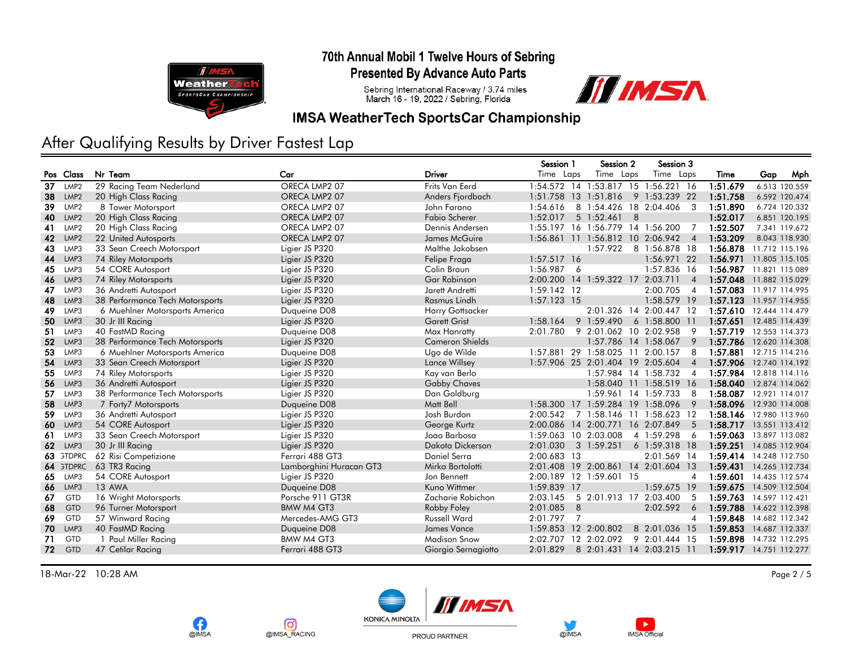

#### 70th Annual Mobil 1 Twelve Hours of Sebring **Presented By Advance Auto Parts**

Sebring International Raceway / 3.74 miles<br>March 16 - 19, 2022 / Sebring, Florida



### **IMSA WeatherTech SportsCar Championship**

# After Qualifying Results by Driver Fastest Lap

**OIMSA** 

|     |                  |                                 |                         |                        | Session 1            |                | Session 2                        |   | Session 3          |                          |                         |     |                |
|-----|------------------|---------------------------------|-------------------------|------------------------|----------------------|----------------|----------------------------------|---|--------------------|--------------------------|-------------------------|-----|----------------|
|     | Pos Class        | Nr Team                         | Car                     | Driver                 | Time Laps            |                | Time Laps                        |   | Time Laps          |                          | Time                    | Gap | Mph            |
| 37  | LMP <sub>2</sub> | 29 Racing Team Nederland        | ORECA LMP2 07           | Frits Van Eerd         |                      |                | 1:54.572 14 1:53.817 15          |   | $1:56.221$ 16      |                          | 1:51.679                |     | 6.513 120.559  |
| 38  | LMP <sub>2</sub> | 20 High Class Racing            | ORECA LMP2 07           | Anders Fjordbach       | 1:51.758 13 1:51.816 |                |                                  |   | 9 1:53.239 22      |                          | 1:51.758                |     | 6.592 120.474  |
| 39  | LMP2             | 8 Tower Motorsport              | ORECA LMP2 07           | John Farano            | 1:54.616             | 8              | 1:54.426 18                      |   | 2:04.406           | 3                        | 1:51.890                |     | 6.724 120.332  |
| 40  | LMP <sub>2</sub> | 20 High Class Racing            | ORECA LMP2 07           | <b>Fabio Scherer</b>   | 1:52.017             |                | 5 1:52.461                       | 8 |                    |                          | 1:52.017                |     | 6.851 120.195  |
| 41  | LMP <sub>2</sub> | 20 High Class Racing            | ORECA LMP2 07           | Dennis Andersen        |                      |                | 1:55.197 16 1:56.779 14 1:56.200 |   |                    |                          | 1:52.507                |     | 7.341 119.672  |
| 42  | LMP <sub>2</sub> | 22 United Autosports            | ORECA LMP2 07           | James McGuire          |                      |                | 1:56.861 11 1:56.812 10 2:06.942 |   |                    | $\overline{4}$           | 1:53.209                |     | 8.043 118.930  |
| 43  | LMP3             | 33 Sean Creech Motorsport       | Ligier JS P320          | Malthe Jakobsen        |                      |                | 1:57.922                         |   | 8 1:56.878 18      |                          | 1:56.878                |     | 11.712 115.196 |
| 44  | LMP3             | 74 Riley Motorsports            | Ligier JS P320          | Felipe Fraga           | 1:57.517 16          |                |                                  |   | 1:56.971 22        |                          | 1:56.971                |     | 11.805 115.105 |
| 45  | LMP3             | 54 CORE Autosport               | Ligier JS P320          | Colin Braun            | $1:56.987$ 6         |                |                                  |   | 1:57.836 16        |                          | 1:56.987                |     | 11.821 115.089 |
| 46  | LMP3             | 74 Riley Motorsports            | Ligier JS P320          | <b>Gar Robinson</b>    |                      |                | 2:00.200 14 1:59.322 17 2:03.711 |   |                    | $\overline{4}$           | 1:57.048                |     | 11.882 115.029 |
| 47  | LMP3             | 36 Andretti Autosport           | Ligier JS P320          | Jarett Andretti        | 1:59.142 12          |                |                                  |   | 2:00.705           | 4                        | 1:57.083                |     | 11.917 114.995 |
| 48  | LMP3             | 38 Performance Tech Motorsports | Ligier JS P320          | Rasmus Lindh           | 1:57.123 15          |                |                                  |   | 1:58.579 19        |                          | 1:57.123                |     | 11.957 114.955 |
| -49 | LMP3             | 6 Muehlner Motorsports America  | Duqueine D08            | Harry Gottsacker       |                      |                | 2:01.326 14 2:00.447 12          |   |                    |                          | 1:57.610                |     | 12.444 114.479 |
| 50  | LMP3             | 30 Jr III Racing                | Ligier JS P320          | <b>Garett Grist</b>    | 1:58.164             |                | 9 1:59.490                       |   | $6 \quad 1:58.800$ | -11                      | 1:57.651                |     | 12.485 114.439 |
| 51  | LMP3             | 40 FastMD Racing                | Duqueine D08            | Max Hanratty           | 2:01.780             |                | 9 2:01.062 10 2:02.958           |   |                    | 9                        | 1:57.719                |     | 12.553 114.373 |
| 52  | LMP3             | 38 Performance Tech Motorsports | Ligier JS P320          | <b>Cameron Shields</b> |                      |                | 1:57.786 14 1:58.067             |   |                    | 9                        | 1:57.786                |     | 12.620 114.308 |
| 53  | LMP3             | 6 Muehlner Motorsports America  | Duqueine D08            | Ugo de Wilde           |                      |                | 1:57.881 29 1:58.025 11          |   | 2:00.157           | 8                        | 1:57.881                |     | 12.715 114.216 |
| 54  | LMP3             | 33 Sean Creech Motorsport       | Ligier JS P320          | Lance Willsey          |                      |                | 1:57.906 25 2:01.404 19 2:05.604 |   |                    | $\boldsymbol{\varDelta}$ | 1:57.906                |     | 12.740 114.192 |
| 55  | LMP3             | 74 Riley Motorsports            | Ligier JS P320          | Kay van Berlo          |                      |                | 1:57.984 14 1:58.732             |   |                    | $\overline{4}$           | 1:57.984                |     | 12.818 114.116 |
| 56  | LMP3             | 36 Andretti Autosport           | Ligier JS P320          | <b>Gabby Chaves</b>    |                      |                | 1:58.040 11 1:58.519 16          |   |                    |                          | 1:58.040                |     | 12.874 114.062 |
| 57  | LMP3             | 38 Performance Tech Motorsports | Ligier JS P320          | Dan Goldburg           |                      |                | 1:59.961 14 1:59.733             |   |                    | 8                        | 1:58.087                |     | 12.921 114.017 |
| 58  | LMP3             | 7 Forty7 Motorsports            | Duqueine D08            | Matt Bell              |                      |                | 1:58.300 17 1:59.284 19 1:58.096 |   |                    | 9                        | 1:58.096                |     | 12.930 114.008 |
| 59  | LMP3             | 36 Andretti Autosport           | Ligier JS P320          | Josh Burdon            | 2:00.542             |                | 7 1:58.146 11 1:58.623           |   |                    | 12                       | 1:58.146                |     | 12.980 113.960 |
| 60  | LMP3             | 54 CORE Autosport               | Ligier JS P320          | George Kurtz           | 2:00.086 14 2:00.771 |                |                                  |   | 16 2:07.849        | 5                        | 1:58.717                |     | 13.551 113.412 |
| 61  | LMP3             | 33 Sean Creech Motorsport       | Ligier JS P320          | Joao Barbosa           | 1:59.063 10 2:03.008 |                |                                  |   | 4 1:59.298         | 6                        | 1:59.063                |     | 13.897 113.082 |
| 62  | LMP3             | 30 Jr III Racing                | Ligier JS P320          | Dakota Dickerson       | 2:01.030             |                | 3 1:59.251                       |   | $6$ 1:59.318 18    |                          | 1:59.251                |     | 14.085 112.904 |
|     | 63 STDPRC        | 62 Risi Competizione            | Ferrari 488 GT3         | Daniel Serra           | 2:00.683 13          |                |                                  |   | 2:01.569 14        |                          | 1:59.414                |     | 14.248 112.750 |
|     | 64 STDPRC        | 63 TR3 Racing                   | Lamborghini Huracan GT3 | Mirko Bortolotti       | 2:01.408 19 2:00.861 |                |                                  |   | 14 2:01.604 13     |                          | 1:59.431                |     | 14.265 112.734 |
| 65  | LMP3             | 54 CORE Autosport               | Ligier JS P320          | Jon Bennett            |                      |                | 2:00.189 12 1:59.601 15          |   |                    | 4                        | 1:59.601                |     | 14.435 112.574 |
| 66  | LMP3             | <b>13 AWA</b>                   | Duqueine D08            | Kuno Wittmer           | 1:59.839 17          |                |                                  |   | 1:59.675 19        |                          | 1:59.675                |     | 14.509 112.504 |
| 67  | <b>GTD</b>       | 16 Wright Motorsports           | Porsche 911 GT3R        | Zacharie Robichon      | 2:03.145             |                | 5 2:01.913 17 2:03.400           |   |                    | 5                        | 1:59.763                |     | 14.597 112.421 |
| 68  | <b>GTD</b>       | 96 Turner Motorsport            | <b>BMW M4 GT3</b>       | Robby Foley            | 2:01.085             | 8              |                                  |   | 2:02.592           | 6                        | 1:59.788                |     | 14.622 112.398 |
| 69  | <b>GTD</b>       | 57 Winward Racing               | Mercedes-AMG GT3        | <b>Russell Ward</b>    | 2:01.797             | $\overline{7}$ |                                  |   |                    | 4                        | 1:59.848                |     | 14.682 112.342 |
| 70  | LMP3             | 40 FastMD Racing                | Duqueine D08            | James Vance            | 1:59.853 12 2:00.802 |                |                                  |   | 8 2:01.036         | -15                      | 1:59.853                |     | 14.687 112.337 |
| 71  | <b>GTD</b>       | 1 Paul Miller Racing            | BMW M4 GT3              | Madison Snow           | 2:02.707 12 2:02.092 |                |                                  |   | 9 2:01.444         | -15                      | 1:59.898                |     | 14.732 112.295 |
| 72  | <b>GTD</b>       | 47 Cetilar Racing               | Ferrari 488 GT3         | Giorgio Sernagiotto    | 2:01.829             |                | 8 2:01.431 14 2:03.215 11        |   |                    |                          | 1:59.917 14.751 112.277 |     |                |
|     |                  |                                 |                         |                        |                      |                |                                  |   |                    |                          |                         |     |                |

18-Mar-22 10:28 AM Page 2 / 5



@IMSA



<u>ଚ</u>

@IMSA\_RACING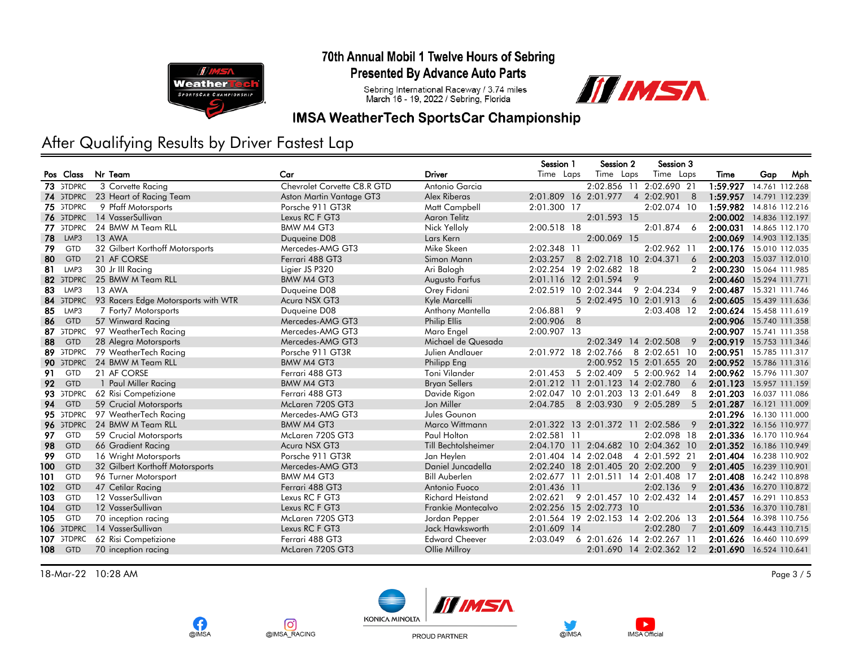



Sebring International Raceway / 3.74 miles<br>March 16 - 19, 2022 / Sebring, Florida



### **IMSA WeatherTech SportsCar Championship**

# After Qualifying Results by Driver Fastest Lap

**OIMSA** 

<u>ଚ</u>

@IMSA\_RACING

|                     |                                     |                             |                            | Session 1                        | Session 2                           | Session 3               |          |                         |
|---------------------|-------------------------------------|-----------------------------|----------------------------|----------------------------------|-------------------------------------|-------------------------|----------|-------------------------|
| Pos Class           | Nr Team                             | Car                         | <b>Driver</b>              | Time Laps                        | Time Laps                           | Time Laps               | Time     | Gap<br>Mph              |
| 73 GTDPRC           | 3 Corvette Racing                   | Chevrolet Corvette C8.R GTD | Antonio Garcia             |                                  | 2:02.856 11                         | 2:02.690 21             | 1:59.927 | 14.761 112.268          |
| 74 STDPRC           | 23 Heart of Racing Team             | Aston Martin Vantage GT3    | Alex Riberas               | 2:01.809 16 2:01.977             |                                     | 4 2:02.901 8            |          | 1:59.957 14.791 112.239 |
| 75 STDPRC           | 9 Pfaff Motorsports                 | Porsche 911 GT3R            | Matt Campbell              | 2:01.300 17                      |                                     | 2:02.074 10             |          | 1:59.982 14.816 112.216 |
| 76 STDPRC           | 14 VasserSullivan                   | Lexus RC F GT3              | <b>Aaron Telitz</b>        |                                  | 2:01.593 15                         |                         |          | 2:00.002 14.836 112.197 |
| 77 GTDPRC           | 24 BMW M Team RLL                   | BMW M4 GT3                  | Nick Yelloly               | 2:00.518 18                      |                                     | 2:01.874<br>6           | 2:00.031 | 14.865 112.170          |
| LMP3<br>-78         | <b>13 AWA</b>                       | Duqueine D08                | Lars Kern                  |                                  | 2:00.069 15                         |                         |          | 2:00.069 14.903 112.135 |
| 79<br>GTD           | 32 Gilbert Korthoff Motorsports     | Mercedes-AMG GT3            | Mike Skeen                 | 2:02.348 11                      |                                     | 2:02.962 11             |          | 2:00.176 15.010 112.035 |
| <b>GTD</b><br>80    | 21 AF CORSE                         | Ferrari 488 GT3             | Simon Mann                 | 2:03.257                         | 8 2:02.718 10 2:04.371              | 6                       | 2:00.203 | 15.037 112.010          |
| 81<br>LMP3          | 30 Jr III Racing                    | Ligier JS P320              | Ari Balogh                 | 2:02.254 19 2:02.682 18          |                                     | $\overline{2}$          |          | 2:00.230 15.064 111.985 |
| 82 STDPRC           | 25 BMW M Team RLL                   | <b>BMW M4 GT3</b>           | Augusto Farfus             | 2:01.116 12 2:01.594 9           |                                     |                         |          | 2:00.460 15.294 111.771 |
| LMP3<br>83          | <b>13 AWA</b>                       | Duqueine D08                | Orey Fidani                | 2:02.519 10 2:02.344             |                                     | 9 2:04.234<br>9         |          | 2:00.487 15.321 111.746 |
| <b>GTDPRC</b><br>84 | 93 Racers Edge Motorsports with WTR | Acura NSX GT3               | Kyle Marcelli              |                                  | 5 2:02.495 10 2:01.913              | 6                       |          | 2:00.605 15.439 111.636 |
| LMP3<br>85          | 7 Forty7 Motorsports                | Duqueine D08                | Anthony Mantella           | 2:06.881<br>9                    |                                     | 2:03.408 12             |          | 2:00.624 15.458 111.619 |
| 86<br><b>GTD</b>    | 57 Winward Racing                   | Mercedes-AMG GT3            | <b>Philip Ellis</b>        | 2:00.906<br>8                    |                                     |                         |          | 2:00.906 15.740 111.358 |
| 87 GTDPRC           | 97 WeatherTech Racing               | Mercedes-AMG GT3            | Maro Engel                 | 2:00.907 13                      |                                     |                         |          | 2:00.907 15.741 111.358 |
| 88<br><b>GTD</b>    | 28 Alegra Motorsports               | Mercedes-AMG GT3            | Michael de Quesada         |                                  | 2:02.349 14 2:02.508                | 9                       |          | 2:00.919 15.753 111.346 |
| 89 STDPRC           | 79 WeatherTech Racing               | Porsche 911 GT3R            | Julien Andlauer            | 2:01.972 18 2:02.766             |                                     | 8 2:02.651 10           | 2:00.951 | 15.785 111.317          |
| 90 STDPRC           | 24 BMW M Team RLL                   | <b>BMW M4 GT3</b>           | Philipp Eng                |                                  |                                     | 2:00.952 15 2:01.655 20 |          | 2:00.952 15.786 111.316 |
| GTD<br>91           | 21 AF CORSE                         | Ferrari 488 GT3             | Toni Vilander              | 2:01.453                         | 5 2:02.409                          | 5 2:00.962 14           |          | 2:00.962 15.796 111.307 |
| <b>GTD</b><br>92    | 1 Paul Miller Racing                | <b>BMW M4 GT3</b>           | <b>Bryan Sellers</b>       | 2:01.212 11 2:01.123             |                                     | 14 2:02.780<br>-6       | 2:01.123 | 15.957 111.159          |
| 93 GTDPRC           | 62 Risi Competizione                | Ferrari 488 GT3             | Davide Rigon               |                                  | 2:02.047 10 2:01.203 13 2:01.649    | 8                       | 2:01.203 | 16.037 111.086          |
| 94<br><b>GTD</b>    | 59 Crucial Motorsports              | McLaren 720S GT3            | Jon Miller                 | 2:04.785                         | 8 2:03.930                          | 9 2:05.289<br>-5        | 2:01.287 | 16.121 111.009          |
| 95 STDPRC           | 97 WeatherTech Racing               | Mercedes-AMG GT3            | Jules Gounon               |                                  |                                     |                         |          | 2:01.296 16.130 111.000 |
| 96 STDPRC           | 24 BMW M Team RLL                   | <b>BMW M4 GT3</b>           | Marco Wittmann             | 2:01.322 13 2:01.372 11 2:02.586 |                                     | 9                       | 2:01.322 | 16.156 110.977          |
| 97<br>GTD           | 59 Crucial Motorsports              | McLaren 720S GT3            | Paul Holton                | 2:02.581 11                      |                                     | 2:02.098 18             |          | 2:01.336 16.170 110.964 |
| GTD<br>98           | 66 Gradient Racing                  | Acura NSX GT3               | <b>Till Bechtolsheimer</b> |                                  | 2:04.170 11 2:04.682 10 2:04.362 10 |                         |          | 2:01.352 16.186 110.949 |
| GTD<br>99           | 16 Wright Motorsports               | Porsche 911 GT3R            | Jan Heylen                 | 2:01.404 14 2:02.048             |                                     | 4 2:01.592 21           |          | 2:01.404 16.238 110.902 |
| 100<br>GTD          | 32 Gilbert Korthoff Motorsports     | Mercedes-AMG GT3            | Daniel Juncadella          |                                  | 2:02.240 18 2:01.405 20 2:02.200    | - 9                     | 2:01.405 | 16.239 110.901          |
| 101<br>GTD          | 96 Turner Motorsport                | BMW M4 GT3                  | <b>Bill Auberlen</b>       |                                  | 2:02.677 11 2:01.511 14 2:01.408 17 |                         | 2:01.408 | 16.242 110.898          |
| <b>GTD</b><br>102   | 47 Cetilar Racing                   | Ferrari 488 GT3             | Antonio Fuoco              | 2:01.436 11                      |                                     | 2:02.136<br>9           | 2:01.436 | 16.270 110.872          |
| 103<br><b>GTD</b>   | 12 VasserSullivan                   | Lexus RC F GT3              | <b>Richard Heistand</b>    | 2:02.621                         | 9 2:01.457 10 2:02.432 14           |                         |          | 2:01.457 16.291 110.853 |
| 104<br><b>GTD</b>   | 12 VasserSullivan                   | Lexus RC F GT3              | Frankie Montecalvo         | 2:02.256 15 2:02.773 10          |                                     |                         |          | 2:01.536 16.370 110.781 |
| 105<br>GTD          | 70 inception racing                 | McLaren 720S GT3            | Jordan Pepper              |                                  | 2:01.564 19 2:02.153 14 2:02.206 13 |                         |          | 2:01.564 16.398 110.756 |
| 106 STDPRC          | 14 VasserSullivan                   | Lexus RC F GT3              | Jack Hawksworth            | 2:01.609 14                      |                                     | 2:02.280<br>7           | 2:01.609 | 16.443 110.715          |
| 107 STDPRC          | 62 Risi Competizione                | Ferrari 488 GT3             | <b>Edward Cheever</b>      | 2:03.049                         | 6 2:01.626 14 2:02.267 11           |                         |          | 2:01.626 16.460 110.699 |
| <b>GTD</b><br>108   | 70 inception racing                 | McLaren 720S GT3            | Ollie Millroy              |                                  | 2:01.690 14 2:02.362 12             |                         |          | 2:01.690 16.524 110.641 |
|                     |                                     |                             |                            |                                  |                                     |                         |          |                         |

18-Mar-22 10:28 AM Page 3 / 5



@IMSA

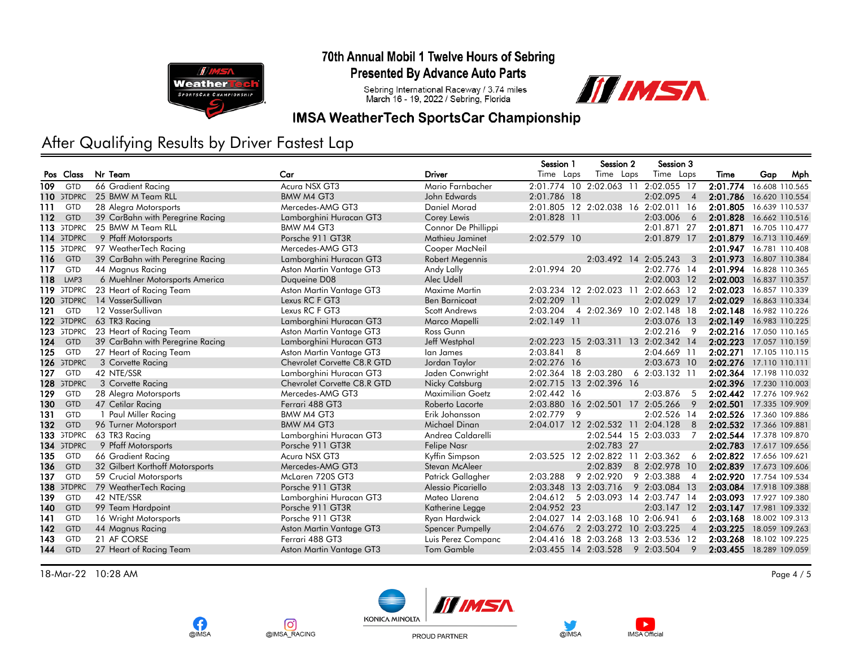

#### 70th Annual Mobil 1 Twelve Hours of Sebring **Presented By Advance Auto Parts**

Sebring International Raceway / 3.74 miles<br>March 16 - 19, 2022 / Sebring, Florida



### **IMSA WeatherTech SportsCar Championship**

# After Qualifying Results by Driver Fastest Lap

**OIMSA** 

<u>ଚ</u>

@IMSA\_RACING

| Pos Class<br>Nr Team<br>Car<br><b>Driver</b><br>Time Laps<br>Time Laps<br>Time Laps<br>Gap<br>Mph<br>Time<br>Acura NSX GT3<br>Mario Farnbacher<br>2:01.774 10 2:02.063 11<br>2:02.055 17<br>2:01.774<br>109<br><b>GTD</b><br>66 Gradient Racing<br>16.608 110.565<br>2:01.786 18<br><b>BMW M4 GT3</b><br>John Edwards<br>2:02.095 4<br>2:01.786 16.620 110.554<br>25 BMW M Team RLL<br>110 STDPRC<br><b>Daniel Morad</b><br>2:01.805 12 2:02.038 16 2:02.011 16<br>2:01.805<br>111<br>GTD<br>28 Alegra Motorsports<br>Mercedes-AMG GT3<br>16.639 110.537<br>2:01.828 11<br><b>GTD</b><br>39 CarBahn with Peregrine Racing<br>Lamborghini Huracan GT3<br>2:03.006<br>6<br>2:01.828 16.662 110.516<br>112<br>Corey Lewis<br>113 STDPRC<br>25 BMW M Team RLL<br>BMW M4 GT3<br>2:01.871 27<br>2:01.871<br>16.705 110.477<br>Connor De Phillippi<br>9 Pfaff Motorsports<br>2:01.879<br>114 STDPRC<br>Porsche 911 GT3R<br>Mathieu Jaminet<br>2:02.579 10<br>2:01.879 17<br>16.713 110.469<br>97 WeatherTech Racing<br>Mercedes-AMG GT3<br>2:01.947 16.781 110.408<br>115 STDPRC<br>Cooper MacNeil<br>39 CarBahn with Peregrine Racing<br>2:03.492 14<br>2:05.243<br>$\mathbf{3}$<br>2:01.973<br><b>GTD</b><br>Lamborghini Huracan GT3<br>Robert Megennis<br>116<br>16.807 110.384<br>2:01.994 20<br>2:02.776 14<br>2:01.994<br>117<br><b>GTD</b><br>44 Magnus Racing<br>Aston Martin Vantage GT3<br>Andy Lally<br>16.828 110.365<br>Alec Udell<br>118<br>LMP3<br>6 Muehlner Motorsports America<br>Duqueine D08<br>2:02.003 12<br>2:02.003<br>16.837 110.357<br>2:03.234 12 2:02.023 11<br>2:02.663 12<br>2:02.023<br>119 STDPRC<br>23 Heart of Racing Team<br>Aston Martin Vantage GT3<br>16.857 110.339<br>Maxime Martin<br>120 STDPRC<br>14 VasserSullivan<br>Lexus RC F GT3<br>2:02.209 11<br>2:02.029 17<br>2:02.029 16.863 110.334<br><b>Ben Barnicoat</b><br>12 VasserSullivan<br>Lexus RC F GT3<br>2:03.204<br>4 2:02.369 10 2:02.148 18<br>2:02.148<br>16.982 110.226<br>121<br><b>GTD</b><br><b>Scott Andrews</b><br>2:02.149<br>122 STDPRC<br>63 TR3 Racing<br>2:02.149 11<br>Lamborghini Huracan GT3<br>Marco Mapelli<br>2:03.076 13<br>16.983 110.225<br>23 Heart of Racing Team<br>2:02.216<br>123 STDPRC<br>Aston Martin Vantage GT3<br>Ross Gunn<br>2:02.216<br>9<br>17.050 110.165<br>39 CarBahn with Peregrine Racing<br>Lamborghini Huracan GT3<br>2:02.223 15 2:03.311 13 2:02.342 14<br>2:02.223<br>124<br><b>GTD</b><br>Jeff Westphal<br>17.057 110.159<br>Aston Martin Vantage GT3<br>2:04.669 11<br>2:02.271<br>125<br>GTD<br>27 Heart of Racing Team<br>lan James<br>2:03.841 8<br>17.105 110.115<br>2:03.673 10<br>2:02.276 17.110 110.111<br>126 STDPRC<br>3 Corvette Racing<br>Chevrolet Corvette C8.R GTD<br>Jordan Taylor<br>2:02.276 16<br>GTD<br>42 NTE/SSR<br>6 2:03.132 11<br>2:02.364 17.198 110.032<br>127<br>Lamborghini Huracan GT3<br>2:02.364 18 2:03.280<br>Jaden Conwright<br>128 GTDPRC<br>3 Corvette Racing<br>Chevrolet Corvette C8.R GTD<br>Nicky Catsburg<br>2:02.715 13 2:02.396 16<br>2:02.396 17.230 110.003<br>129<br>GTD<br>Maximilian Goetz<br>2:02.442 16<br>2:03.876<br>2:02.442 17.276 109.962<br>28 Alegra Motorsports<br>Mercedes-AMG GT3<br>-5<br>Ferrari 488 GT3<br>2:03.880 16 2:02.501 17 2:05.266<br>2:02.501<br><b>GTD</b><br>47 Cetilar Racing<br>Roberto Lacorte<br>9<br>130<br>17.335 109.909<br><b>GTD</b><br>1 Paul Miller Racing<br>2:02.526 14<br>2:02.526 17.360 109.886<br>131<br>BMW M4 GT3<br>Erik Johansson<br>$2:02.779$ 9<br>2:02.532<br>132<br><b>GTD</b><br>96 Turner Motorsport<br><b>BMW M4 GT3</b><br>Michael Dinan<br>2:04.017 12 2:02.532 11 2:04.128<br>8<br>17.366 109.881<br>133 STDPRC<br>63 TR3 Racing<br>Lamborghini Huracan GT3<br>Andrea Caldarelli<br>2:02.544 15 2:03.033<br>7<br>2:02.544<br>17.378 109.870<br>9 Pfaff Motorsports<br>134 GTDPRC<br>Porsche 911 GT3R<br><b>Felipe Nasr</b><br>2:02.783 27<br>2:02.783 17.617 109.656<br>GTD<br>66 Gradient Racing<br>Kyffin Simpson<br>2:03.525 12 2:02.822 11 2:03.362<br>2:02.822 17.656 109.621<br>135<br>Acura NSX GT3<br>6<br><b>GTD</b><br>Stevan McAleer<br>8 2:02.978 10<br>2:02.839 17.673 109.606<br>136<br>32 Gilbert Korthoff Motorsports<br>Mercedes-AMG GT3<br>2:02.839<br>137<br>9 2:02.920<br>9 2:03.388<br>2:02.920 17.754 109.534<br>GTD<br>59 Crucial Motorsports<br>McLaren 720S GT3<br>Patrick Gallagher<br>2:03.288<br>$\overline{4}$<br>79 WeatherTech Racing<br>Porsche 911 GT3R<br>Alessio Picariello<br>2:03.348 13 2:03.716<br>9 2:03.084 13<br>2:03.084<br>138 STDPRC<br>17.918 109.388<br>139<br>42 NTE/SSR<br>Lamborghini Huracan GT3<br>Mateo Llarena<br>5 2:03.093 14 2:03.747 14<br>2:03.093<br><b>GTD</b><br>2:04.612<br>17.927 109.380<br><b>GTD</b><br>99 Team Hardpoint<br>Porsche 911 GT3R<br>2:04.952 23<br>2:03.147 12<br>2:03.147<br>140<br>Katherine Legge<br>17.981 109.332<br>141<br>GTD<br>16 Wright Motorsports<br>Porsche 911 GT3R<br>Ryan Hardwick<br>2:04.027 14 2:03.168 10 2:06.941<br>2:03.168<br>6<br>18.002 109.313<br><b>GTD</b><br>44 Magnus Racing<br>Spencer Pumpelly<br>2:03.225<br>142<br>Aston Martin Vantage GT3<br>2:04.676<br>2 2:03.272 10 2:03.225<br>$\overline{4}$<br>18.059 109.263<br>143<br><b>GTD</b><br>21 AF CORSE<br>2:04.416 18 2:03.268 13 2:03.536<br>2:03.268<br>Ferrari 488 GT3<br>Luis Perez Companc<br>18.102 109.225<br>-12<br><b>GTD</b><br>27 Heart of Racing Team<br>2:03.455 14 2:03.528 9 2:03.504 9<br>2:03.455 18.289 109.059<br>144<br>Aston Martin Vantage GT3<br><b>Tom Gamble</b> |  |  | Session 1 | Session 2 | Session 3 |  |
|---------------------------------------------------------------------------------------------------------------------------------------------------------------------------------------------------------------------------------------------------------------------------------------------------------------------------------------------------------------------------------------------------------------------------------------------------------------------------------------------------------------------------------------------------------------------------------------------------------------------------------------------------------------------------------------------------------------------------------------------------------------------------------------------------------------------------------------------------------------------------------------------------------------------------------------------------------------------------------------------------------------------------------------------------------------------------------------------------------------------------------------------------------------------------------------------------------------------------------------------------------------------------------------------------------------------------------------------------------------------------------------------------------------------------------------------------------------------------------------------------------------------------------------------------------------------------------------------------------------------------------------------------------------------------------------------------------------------------------------------------------------------------------------------------------------------------------------------------------------------------------------------------------------------------------------------------------------------------------------------------------------------------------------------------------------------------------------------------------------------------------------------------------------------------------------------------------------------------------------------------------------------------------------------------------------------------------------------------------------------------------------------------------------------------------------------------------------------------------------------------------------------------------------------------------------------------------------------------------------------------------------------------------------------------------------------------------------------------------------------------------------------------------------------------------------------------------------------------------------------------------------------------------------------------------------------------------------------------------------------------------------------------------------------------------------------------------------------------------------------------------------------------------------------------------------------------------------------------------------------------------------------------------------------------------------------------------------------------------------------------------------------------------------------------------------------------------------------------------------------------------------------------------------------------------------------------------------------------------------------------------------------------------------------------------------------------------------------------------------------------------------------------------------------------------------------------------------------------------------------------------------------------------------------------------------------------------------------------------------------------------------------------------------------------------------------------------------------------------------------------------------------------------------------------------------------------------------------------------------------------------------------------------------------------------------------------------------------------------------------------------------------------------------------------------------------------------------------------------------------------------------------------------------------------------------------------------------------------------------------------------------------------------------------------------------------------------------------------------------------------------------------------------------------------------------------------------------------------------------------------------------------------------------------------------------------------------------------------------------------------------------------------------------------------------------------------------------------------------------------------------------------------------------------------------------------------------------------------------------------------------------------------------------------------------------------------------------------------------------------------------------------------------------------------------------------------------------------------------------------------------------------------|--|--|-----------|-----------|-----------|--|
|                                                                                                                                                                                                                                                                                                                                                                                                                                                                                                                                                                                                                                                                                                                                                                                                                                                                                                                                                                                                                                                                                                                                                                                                                                                                                                                                                                                                                                                                                                                                                                                                                                                                                                                                                                                                                                                                                                                                                                                                                                                                                                                                                                                                                                                                                                                                                                                                                                                                                                                                                                                                                                                                                                                                                                                                                                                                                                                                                                                                                                                                                                                                                                                                                                                                                                                                                                                                                                                                                                                                                                                                                                                                                                                                                                                                                                                                                                                                                                                                                                                                                                                                                                                                                                                                                                                                                                                                                                                                                                                                                                                                                                                                                                                                                                                                                                                                                                                                                                                                                                                                                                                                                                                                                                                                                                                                                                                                                                                                                                                           |  |  |           |           |           |  |
|                                                                                                                                                                                                                                                                                                                                                                                                                                                                                                                                                                                                                                                                                                                                                                                                                                                                                                                                                                                                                                                                                                                                                                                                                                                                                                                                                                                                                                                                                                                                                                                                                                                                                                                                                                                                                                                                                                                                                                                                                                                                                                                                                                                                                                                                                                                                                                                                                                                                                                                                                                                                                                                                                                                                                                                                                                                                                                                                                                                                                                                                                                                                                                                                                                                                                                                                                                                                                                                                                                                                                                                                                                                                                                                                                                                                                                                                                                                                                                                                                                                                                                                                                                                                                                                                                                                                                                                                                                                                                                                                                                                                                                                                                                                                                                                                                                                                                                                                                                                                                                                                                                                                                                                                                                                                                                                                                                                                                                                                                                                           |  |  |           |           |           |  |
|                                                                                                                                                                                                                                                                                                                                                                                                                                                                                                                                                                                                                                                                                                                                                                                                                                                                                                                                                                                                                                                                                                                                                                                                                                                                                                                                                                                                                                                                                                                                                                                                                                                                                                                                                                                                                                                                                                                                                                                                                                                                                                                                                                                                                                                                                                                                                                                                                                                                                                                                                                                                                                                                                                                                                                                                                                                                                                                                                                                                                                                                                                                                                                                                                                                                                                                                                                                                                                                                                                                                                                                                                                                                                                                                                                                                                                                                                                                                                                                                                                                                                                                                                                                                                                                                                                                                                                                                                                                                                                                                                                                                                                                                                                                                                                                                                                                                                                                                                                                                                                                                                                                                                                                                                                                                                                                                                                                                                                                                                                                           |  |  |           |           |           |  |
|                                                                                                                                                                                                                                                                                                                                                                                                                                                                                                                                                                                                                                                                                                                                                                                                                                                                                                                                                                                                                                                                                                                                                                                                                                                                                                                                                                                                                                                                                                                                                                                                                                                                                                                                                                                                                                                                                                                                                                                                                                                                                                                                                                                                                                                                                                                                                                                                                                                                                                                                                                                                                                                                                                                                                                                                                                                                                                                                                                                                                                                                                                                                                                                                                                                                                                                                                                                                                                                                                                                                                                                                                                                                                                                                                                                                                                                                                                                                                                                                                                                                                                                                                                                                                                                                                                                                                                                                                                                                                                                                                                                                                                                                                                                                                                                                                                                                                                                                                                                                                                                                                                                                                                                                                                                                                                                                                                                                                                                                                                                           |  |  |           |           |           |  |
|                                                                                                                                                                                                                                                                                                                                                                                                                                                                                                                                                                                                                                                                                                                                                                                                                                                                                                                                                                                                                                                                                                                                                                                                                                                                                                                                                                                                                                                                                                                                                                                                                                                                                                                                                                                                                                                                                                                                                                                                                                                                                                                                                                                                                                                                                                                                                                                                                                                                                                                                                                                                                                                                                                                                                                                                                                                                                                                                                                                                                                                                                                                                                                                                                                                                                                                                                                                                                                                                                                                                                                                                                                                                                                                                                                                                                                                                                                                                                                                                                                                                                                                                                                                                                                                                                                                                                                                                                                                                                                                                                                                                                                                                                                                                                                                                                                                                                                                                                                                                                                                                                                                                                                                                                                                                                                                                                                                                                                                                                                                           |  |  |           |           |           |  |
|                                                                                                                                                                                                                                                                                                                                                                                                                                                                                                                                                                                                                                                                                                                                                                                                                                                                                                                                                                                                                                                                                                                                                                                                                                                                                                                                                                                                                                                                                                                                                                                                                                                                                                                                                                                                                                                                                                                                                                                                                                                                                                                                                                                                                                                                                                                                                                                                                                                                                                                                                                                                                                                                                                                                                                                                                                                                                                                                                                                                                                                                                                                                                                                                                                                                                                                                                                                                                                                                                                                                                                                                                                                                                                                                                                                                                                                                                                                                                                                                                                                                                                                                                                                                                                                                                                                                                                                                                                                                                                                                                                                                                                                                                                                                                                                                                                                                                                                                                                                                                                                                                                                                                                                                                                                                                                                                                                                                                                                                                                                           |  |  |           |           |           |  |
|                                                                                                                                                                                                                                                                                                                                                                                                                                                                                                                                                                                                                                                                                                                                                                                                                                                                                                                                                                                                                                                                                                                                                                                                                                                                                                                                                                                                                                                                                                                                                                                                                                                                                                                                                                                                                                                                                                                                                                                                                                                                                                                                                                                                                                                                                                                                                                                                                                                                                                                                                                                                                                                                                                                                                                                                                                                                                                                                                                                                                                                                                                                                                                                                                                                                                                                                                                                                                                                                                                                                                                                                                                                                                                                                                                                                                                                                                                                                                                                                                                                                                                                                                                                                                                                                                                                                                                                                                                                                                                                                                                                                                                                                                                                                                                                                                                                                                                                                                                                                                                                                                                                                                                                                                                                                                                                                                                                                                                                                                                                           |  |  |           |           |           |  |
|                                                                                                                                                                                                                                                                                                                                                                                                                                                                                                                                                                                                                                                                                                                                                                                                                                                                                                                                                                                                                                                                                                                                                                                                                                                                                                                                                                                                                                                                                                                                                                                                                                                                                                                                                                                                                                                                                                                                                                                                                                                                                                                                                                                                                                                                                                                                                                                                                                                                                                                                                                                                                                                                                                                                                                                                                                                                                                                                                                                                                                                                                                                                                                                                                                                                                                                                                                                                                                                                                                                                                                                                                                                                                                                                                                                                                                                                                                                                                                                                                                                                                                                                                                                                                                                                                                                                                                                                                                                                                                                                                                                                                                                                                                                                                                                                                                                                                                                                                                                                                                                                                                                                                                                                                                                                                                                                                                                                                                                                                                                           |  |  |           |           |           |  |
|                                                                                                                                                                                                                                                                                                                                                                                                                                                                                                                                                                                                                                                                                                                                                                                                                                                                                                                                                                                                                                                                                                                                                                                                                                                                                                                                                                                                                                                                                                                                                                                                                                                                                                                                                                                                                                                                                                                                                                                                                                                                                                                                                                                                                                                                                                                                                                                                                                                                                                                                                                                                                                                                                                                                                                                                                                                                                                                                                                                                                                                                                                                                                                                                                                                                                                                                                                                                                                                                                                                                                                                                                                                                                                                                                                                                                                                                                                                                                                                                                                                                                                                                                                                                                                                                                                                                                                                                                                                                                                                                                                                                                                                                                                                                                                                                                                                                                                                                                                                                                                                                                                                                                                                                                                                                                                                                                                                                                                                                                                                           |  |  |           |           |           |  |
|                                                                                                                                                                                                                                                                                                                                                                                                                                                                                                                                                                                                                                                                                                                                                                                                                                                                                                                                                                                                                                                                                                                                                                                                                                                                                                                                                                                                                                                                                                                                                                                                                                                                                                                                                                                                                                                                                                                                                                                                                                                                                                                                                                                                                                                                                                                                                                                                                                                                                                                                                                                                                                                                                                                                                                                                                                                                                                                                                                                                                                                                                                                                                                                                                                                                                                                                                                                                                                                                                                                                                                                                                                                                                                                                                                                                                                                                                                                                                                                                                                                                                                                                                                                                                                                                                                                                                                                                                                                                                                                                                                                                                                                                                                                                                                                                                                                                                                                                                                                                                                                                                                                                                                                                                                                                                                                                                                                                                                                                                                                           |  |  |           |           |           |  |
|                                                                                                                                                                                                                                                                                                                                                                                                                                                                                                                                                                                                                                                                                                                                                                                                                                                                                                                                                                                                                                                                                                                                                                                                                                                                                                                                                                                                                                                                                                                                                                                                                                                                                                                                                                                                                                                                                                                                                                                                                                                                                                                                                                                                                                                                                                                                                                                                                                                                                                                                                                                                                                                                                                                                                                                                                                                                                                                                                                                                                                                                                                                                                                                                                                                                                                                                                                                                                                                                                                                                                                                                                                                                                                                                                                                                                                                                                                                                                                                                                                                                                                                                                                                                                                                                                                                                                                                                                                                                                                                                                                                                                                                                                                                                                                                                                                                                                                                                                                                                                                                                                                                                                                                                                                                                                                                                                                                                                                                                                                                           |  |  |           |           |           |  |
|                                                                                                                                                                                                                                                                                                                                                                                                                                                                                                                                                                                                                                                                                                                                                                                                                                                                                                                                                                                                                                                                                                                                                                                                                                                                                                                                                                                                                                                                                                                                                                                                                                                                                                                                                                                                                                                                                                                                                                                                                                                                                                                                                                                                                                                                                                                                                                                                                                                                                                                                                                                                                                                                                                                                                                                                                                                                                                                                                                                                                                                                                                                                                                                                                                                                                                                                                                                                                                                                                                                                                                                                                                                                                                                                                                                                                                                                                                                                                                                                                                                                                                                                                                                                                                                                                                                                                                                                                                                                                                                                                                                                                                                                                                                                                                                                                                                                                                                                                                                                                                                                                                                                                                                                                                                                                                                                                                                                                                                                                                                           |  |  |           |           |           |  |
|                                                                                                                                                                                                                                                                                                                                                                                                                                                                                                                                                                                                                                                                                                                                                                                                                                                                                                                                                                                                                                                                                                                                                                                                                                                                                                                                                                                                                                                                                                                                                                                                                                                                                                                                                                                                                                                                                                                                                                                                                                                                                                                                                                                                                                                                                                                                                                                                                                                                                                                                                                                                                                                                                                                                                                                                                                                                                                                                                                                                                                                                                                                                                                                                                                                                                                                                                                                                                                                                                                                                                                                                                                                                                                                                                                                                                                                                                                                                                                                                                                                                                                                                                                                                                                                                                                                                                                                                                                                                                                                                                                                                                                                                                                                                                                                                                                                                                                                                                                                                                                                                                                                                                                                                                                                                                                                                                                                                                                                                                                                           |  |  |           |           |           |  |
|                                                                                                                                                                                                                                                                                                                                                                                                                                                                                                                                                                                                                                                                                                                                                                                                                                                                                                                                                                                                                                                                                                                                                                                                                                                                                                                                                                                                                                                                                                                                                                                                                                                                                                                                                                                                                                                                                                                                                                                                                                                                                                                                                                                                                                                                                                                                                                                                                                                                                                                                                                                                                                                                                                                                                                                                                                                                                                                                                                                                                                                                                                                                                                                                                                                                                                                                                                                                                                                                                                                                                                                                                                                                                                                                                                                                                                                                                                                                                                                                                                                                                                                                                                                                                                                                                                                                                                                                                                                                                                                                                                                                                                                                                                                                                                                                                                                                                                                                                                                                                                                                                                                                                                                                                                                                                                                                                                                                                                                                                                                           |  |  |           |           |           |  |
|                                                                                                                                                                                                                                                                                                                                                                                                                                                                                                                                                                                                                                                                                                                                                                                                                                                                                                                                                                                                                                                                                                                                                                                                                                                                                                                                                                                                                                                                                                                                                                                                                                                                                                                                                                                                                                                                                                                                                                                                                                                                                                                                                                                                                                                                                                                                                                                                                                                                                                                                                                                                                                                                                                                                                                                                                                                                                                                                                                                                                                                                                                                                                                                                                                                                                                                                                                                                                                                                                                                                                                                                                                                                                                                                                                                                                                                                                                                                                                                                                                                                                                                                                                                                                                                                                                                                                                                                                                                                                                                                                                                                                                                                                                                                                                                                                                                                                                                                                                                                                                                                                                                                                                                                                                                                                                                                                                                                                                                                                                                           |  |  |           |           |           |  |
|                                                                                                                                                                                                                                                                                                                                                                                                                                                                                                                                                                                                                                                                                                                                                                                                                                                                                                                                                                                                                                                                                                                                                                                                                                                                                                                                                                                                                                                                                                                                                                                                                                                                                                                                                                                                                                                                                                                                                                                                                                                                                                                                                                                                                                                                                                                                                                                                                                                                                                                                                                                                                                                                                                                                                                                                                                                                                                                                                                                                                                                                                                                                                                                                                                                                                                                                                                                                                                                                                                                                                                                                                                                                                                                                                                                                                                                                                                                                                                                                                                                                                                                                                                                                                                                                                                                                                                                                                                                                                                                                                                                                                                                                                                                                                                                                                                                                                                                                                                                                                                                                                                                                                                                                                                                                                                                                                                                                                                                                                                                           |  |  |           |           |           |  |
|                                                                                                                                                                                                                                                                                                                                                                                                                                                                                                                                                                                                                                                                                                                                                                                                                                                                                                                                                                                                                                                                                                                                                                                                                                                                                                                                                                                                                                                                                                                                                                                                                                                                                                                                                                                                                                                                                                                                                                                                                                                                                                                                                                                                                                                                                                                                                                                                                                                                                                                                                                                                                                                                                                                                                                                                                                                                                                                                                                                                                                                                                                                                                                                                                                                                                                                                                                                                                                                                                                                                                                                                                                                                                                                                                                                                                                                                                                                                                                                                                                                                                                                                                                                                                                                                                                                                                                                                                                                                                                                                                                                                                                                                                                                                                                                                                                                                                                                                                                                                                                                                                                                                                                                                                                                                                                                                                                                                                                                                                                                           |  |  |           |           |           |  |
|                                                                                                                                                                                                                                                                                                                                                                                                                                                                                                                                                                                                                                                                                                                                                                                                                                                                                                                                                                                                                                                                                                                                                                                                                                                                                                                                                                                                                                                                                                                                                                                                                                                                                                                                                                                                                                                                                                                                                                                                                                                                                                                                                                                                                                                                                                                                                                                                                                                                                                                                                                                                                                                                                                                                                                                                                                                                                                                                                                                                                                                                                                                                                                                                                                                                                                                                                                                                                                                                                                                                                                                                                                                                                                                                                                                                                                                                                                                                                                                                                                                                                                                                                                                                                                                                                                                                                                                                                                                                                                                                                                                                                                                                                                                                                                                                                                                                                                                                                                                                                                                                                                                                                                                                                                                                                                                                                                                                                                                                                                                           |  |  |           |           |           |  |
|                                                                                                                                                                                                                                                                                                                                                                                                                                                                                                                                                                                                                                                                                                                                                                                                                                                                                                                                                                                                                                                                                                                                                                                                                                                                                                                                                                                                                                                                                                                                                                                                                                                                                                                                                                                                                                                                                                                                                                                                                                                                                                                                                                                                                                                                                                                                                                                                                                                                                                                                                                                                                                                                                                                                                                                                                                                                                                                                                                                                                                                                                                                                                                                                                                                                                                                                                                                                                                                                                                                                                                                                                                                                                                                                                                                                                                                                                                                                                                                                                                                                                                                                                                                                                                                                                                                                                                                                                                                                                                                                                                                                                                                                                                                                                                                                                                                                                                                                                                                                                                                                                                                                                                                                                                                                                                                                                                                                                                                                                                                           |  |  |           |           |           |  |
|                                                                                                                                                                                                                                                                                                                                                                                                                                                                                                                                                                                                                                                                                                                                                                                                                                                                                                                                                                                                                                                                                                                                                                                                                                                                                                                                                                                                                                                                                                                                                                                                                                                                                                                                                                                                                                                                                                                                                                                                                                                                                                                                                                                                                                                                                                                                                                                                                                                                                                                                                                                                                                                                                                                                                                                                                                                                                                                                                                                                                                                                                                                                                                                                                                                                                                                                                                                                                                                                                                                                                                                                                                                                                                                                                                                                                                                                                                                                                                                                                                                                                                                                                                                                                                                                                                                                                                                                                                                                                                                                                                                                                                                                                                                                                                                                                                                                                                                                                                                                                                                                                                                                                                                                                                                                                                                                                                                                                                                                                                                           |  |  |           |           |           |  |
|                                                                                                                                                                                                                                                                                                                                                                                                                                                                                                                                                                                                                                                                                                                                                                                                                                                                                                                                                                                                                                                                                                                                                                                                                                                                                                                                                                                                                                                                                                                                                                                                                                                                                                                                                                                                                                                                                                                                                                                                                                                                                                                                                                                                                                                                                                                                                                                                                                                                                                                                                                                                                                                                                                                                                                                                                                                                                                                                                                                                                                                                                                                                                                                                                                                                                                                                                                                                                                                                                                                                                                                                                                                                                                                                                                                                                                                                                                                                                                                                                                                                                                                                                                                                                                                                                                                                                                                                                                                                                                                                                                                                                                                                                                                                                                                                                                                                                                                                                                                                                                                                                                                                                                                                                                                                                                                                                                                                                                                                                                                           |  |  |           |           |           |  |
|                                                                                                                                                                                                                                                                                                                                                                                                                                                                                                                                                                                                                                                                                                                                                                                                                                                                                                                                                                                                                                                                                                                                                                                                                                                                                                                                                                                                                                                                                                                                                                                                                                                                                                                                                                                                                                                                                                                                                                                                                                                                                                                                                                                                                                                                                                                                                                                                                                                                                                                                                                                                                                                                                                                                                                                                                                                                                                                                                                                                                                                                                                                                                                                                                                                                                                                                                                                                                                                                                                                                                                                                                                                                                                                                                                                                                                                                                                                                                                                                                                                                                                                                                                                                                                                                                                                                                                                                                                                                                                                                                                                                                                                                                                                                                                                                                                                                                                                                                                                                                                                                                                                                                                                                                                                                                                                                                                                                                                                                                                                           |  |  |           |           |           |  |
|                                                                                                                                                                                                                                                                                                                                                                                                                                                                                                                                                                                                                                                                                                                                                                                                                                                                                                                                                                                                                                                                                                                                                                                                                                                                                                                                                                                                                                                                                                                                                                                                                                                                                                                                                                                                                                                                                                                                                                                                                                                                                                                                                                                                                                                                                                                                                                                                                                                                                                                                                                                                                                                                                                                                                                                                                                                                                                                                                                                                                                                                                                                                                                                                                                                                                                                                                                                                                                                                                                                                                                                                                                                                                                                                                                                                                                                                                                                                                                                                                                                                                                                                                                                                                                                                                                                                                                                                                                                                                                                                                                                                                                                                                                                                                                                                                                                                                                                                                                                                                                                                                                                                                                                                                                                                                                                                                                                                                                                                                                                           |  |  |           |           |           |  |
|                                                                                                                                                                                                                                                                                                                                                                                                                                                                                                                                                                                                                                                                                                                                                                                                                                                                                                                                                                                                                                                                                                                                                                                                                                                                                                                                                                                                                                                                                                                                                                                                                                                                                                                                                                                                                                                                                                                                                                                                                                                                                                                                                                                                                                                                                                                                                                                                                                                                                                                                                                                                                                                                                                                                                                                                                                                                                                                                                                                                                                                                                                                                                                                                                                                                                                                                                                                                                                                                                                                                                                                                                                                                                                                                                                                                                                                                                                                                                                                                                                                                                                                                                                                                                                                                                                                                                                                                                                                                                                                                                                                                                                                                                                                                                                                                                                                                                                                                                                                                                                                                                                                                                                                                                                                                                                                                                                                                                                                                                                                           |  |  |           |           |           |  |
|                                                                                                                                                                                                                                                                                                                                                                                                                                                                                                                                                                                                                                                                                                                                                                                                                                                                                                                                                                                                                                                                                                                                                                                                                                                                                                                                                                                                                                                                                                                                                                                                                                                                                                                                                                                                                                                                                                                                                                                                                                                                                                                                                                                                                                                                                                                                                                                                                                                                                                                                                                                                                                                                                                                                                                                                                                                                                                                                                                                                                                                                                                                                                                                                                                                                                                                                                                                                                                                                                                                                                                                                                                                                                                                                                                                                                                                                                                                                                                                                                                                                                                                                                                                                                                                                                                                                                                                                                                                                                                                                                                                                                                                                                                                                                                                                                                                                                                                                                                                                                                                                                                                                                                                                                                                                                                                                                                                                                                                                                                                           |  |  |           |           |           |  |
|                                                                                                                                                                                                                                                                                                                                                                                                                                                                                                                                                                                                                                                                                                                                                                                                                                                                                                                                                                                                                                                                                                                                                                                                                                                                                                                                                                                                                                                                                                                                                                                                                                                                                                                                                                                                                                                                                                                                                                                                                                                                                                                                                                                                                                                                                                                                                                                                                                                                                                                                                                                                                                                                                                                                                                                                                                                                                                                                                                                                                                                                                                                                                                                                                                                                                                                                                                                                                                                                                                                                                                                                                                                                                                                                                                                                                                                                                                                                                                                                                                                                                                                                                                                                                                                                                                                                                                                                                                                                                                                                                                                                                                                                                                                                                                                                                                                                                                                                                                                                                                                                                                                                                                                                                                                                                                                                                                                                                                                                                                                           |  |  |           |           |           |  |
|                                                                                                                                                                                                                                                                                                                                                                                                                                                                                                                                                                                                                                                                                                                                                                                                                                                                                                                                                                                                                                                                                                                                                                                                                                                                                                                                                                                                                                                                                                                                                                                                                                                                                                                                                                                                                                                                                                                                                                                                                                                                                                                                                                                                                                                                                                                                                                                                                                                                                                                                                                                                                                                                                                                                                                                                                                                                                                                                                                                                                                                                                                                                                                                                                                                                                                                                                                                                                                                                                                                                                                                                                                                                                                                                                                                                                                                                                                                                                                                                                                                                                                                                                                                                                                                                                                                                                                                                                                                                                                                                                                                                                                                                                                                                                                                                                                                                                                                                                                                                                                                                                                                                                                                                                                                                                                                                                                                                                                                                                                                           |  |  |           |           |           |  |
|                                                                                                                                                                                                                                                                                                                                                                                                                                                                                                                                                                                                                                                                                                                                                                                                                                                                                                                                                                                                                                                                                                                                                                                                                                                                                                                                                                                                                                                                                                                                                                                                                                                                                                                                                                                                                                                                                                                                                                                                                                                                                                                                                                                                                                                                                                                                                                                                                                                                                                                                                                                                                                                                                                                                                                                                                                                                                                                                                                                                                                                                                                                                                                                                                                                                                                                                                                                                                                                                                                                                                                                                                                                                                                                                                                                                                                                                                                                                                                                                                                                                                                                                                                                                                                                                                                                                                                                                                                                                                                                                                                                                                                                                                                                                                                                                                                                                                                                                                                                                                                                                                                                                                                                                                                                                                                                                                                                                                                                                                                                           |  |  |           |           |           |  |
|                                                                                                                                                                                                                                                                                                                                                                                                                                                                                                                                                                                                                                                                                                                                                                                                                                                                                                                                                                                                                                                                                                                                                                                                                                                                                                                                                                                                                                                                                                                                                                                                                                                                                                                                                                                                                                                                                                                                                                                                                                                                                                                                                                                                                                                                                                                                                                                                                                                                                                                                                                                                                                                                                                                                                                                                                                                                                                                                                                                                                                                                                                                                                                                                                                                                                                                                                                                                                                                                                                                                                                                                                                                                                                                                                                                                                                                                                                                                                                                                                                                                                                                                                                                                                                                                                                                                                                                                                                                                                                                                                                                                                                                                                                                                                                                                                                                                                                                                                                                                                                                                                                                                                                                                                                                                                                                                                                                                                                                                                                                           |  |  |           |           |           |  |
|                                                                                                                                                                                                                                                                                                                                                                                                                                                                                                                                                                                                                                                                                                                                                                                                                                                                                                                                                                                                                                                                                                                                                                                                                                                                                                                                                                                                                                                                                                                                                                                                                                                                                                                                                                                                                                                                                                                                                                                                                                                                                                                                                                                                                                                                                                                                                                                                                                                                                                                                                                                                                                                                                                                                                                                                                                                                                                                                                                                                                                                                                                                                                                                                                                                                                                                                                                                                                                                                                                                                                                                                                                                                                                                                                                                                                                                                                                                                                                                                                                                                                                                                                                                                                                                                                                                                                                                                                                                                                                                                                                                                                                                                                                                                                                                                                                                                                                                                                                                                                                                                                                                                                                                                                                                                                                                                                                                                                                                                                                                           |  |  |           |           |           |  |
|                                                                                                                                                                                                                                                                                                                                                                                                                                                                                                                                                                                                                                                                                                                                                                                                                                                                                                                                                                                                                                                                                                                                                                                                                                                                                                                                                                                                                                                                                                                                                                                                                                                                                                                                                                                                                                                                                                                                                                                                                                                                                                                                                                                                                                                                                                                                                                                                                                                                                                                                                                                                                                                                                                                                                                                                                                                                                                                                                                                                                                                                                                                                                                                                                                                                                                                                                                                                                                                                                                                                                                                                                                                                                                                                                                                                                                                                                                                                                                                                                                                                                                                                                                                                                                                                                                                                                                                                                                                                                                                                                                                                                                                                                                                                                                                                                                                                                                                                                                                                                                                                                                                                                                                                                                                                                                                                                                                                                                                                                                                           |  |  |           |           |           |  |
|                                                                                                                                                                                                                                                                                                                                                                                                                                                                                                                                                                                                                                                                                                                                                                                                                                                                                                                                                                                                                                                                                                                                                                                                                                                                                                                                                                                                                                                                                                                                                                                                                                                                                                                                                                                                                                                                                                                                                                                                                                                                                                                                                                                                                                                                                                                                                                                                                                                                                                                                                                                                                                                                                                                                                                                                                                                                                                                                                                                                                                                                                                                                                                                                                                                                                                                                                                                                                                                                                                                                                                                                                                                                                                                                                                                                                                                                                                                                                                                                                                                                                                                                                                                                                                                                                                                                                                                                                                                                                                                                                                                                                                                                                                                                                                                                                                                                                                                                                                                                                                                                                                                                                                                                                                                                                                                                                                                                                                                                                                                           |  |  |           |           |           |  |
|                                                                                                                                                                                                                                                                                                                                                                                                                                                                                                                                                                                                                                                                                                                                                                                                                                                                                                                                                                                                                                                                                                                                                                                                                                                                                                                                                                                                                                                                                                                                                                                                                                                                                                                                                                                                                                                                                                                                                                                                                                                                                                                                                                                                                                                                                                                                                                                                                                                                                                                                                                                                                                                                                                                                                                                                                                                                                                                                                                                                                                                                                                                                                                                                                                                                                                                                                                                                                                                                                                                                                                                                                                                                                                                                                                                                                                                                                                                                                                                                                                                                                                                                                                                                                                                                                                                                                                                                                                                                                                                                                                                                                                                                                                                                                                                                                                                                                                                                                                                                                                                                                                                                                                                                                                                                                                                                                                                                                                                                                                                           |  |  |           |           |           |  |
|                                                                                                                                                                                                                                                                                                                                                                                                                                                                                                                                                                                                                                                                                                                                                                                                                                                                                                                                                                                                                                                                                                                                                                                                                                                                                                                                                                                                                                                                                                                                                                                                                                                                                                                                                                                                                                                                                                                                                                                                                                                                                                                                                                                                                                                                                                                                                                                                                                                                                                                                                                                                                                                                                                                                                                                                                                                                                                                                                                                                                                                                                                                                                                                                                                                                                                                                                                                                                                                                                                                                                                                                                                                                                                                                                                                                                                                                                                                                                                                                                                                                                                                                                                                                                                                                                                                                                                                                                                                                                                                                                                                                                                                                                                                                                                                                                                                                                                                                                                                                                                                                                                                                                                                                                                                                                                                                                                                                                                                                                                                           |  |  |           |           |           |  |
|                                                                                                                                                                                                                                                                                                                                                                                                                                                                                                                                                                                                                                                                                                                                                                                                                                                                                                                                                                                                                                                                                                                                                                                                                                                                                                                                                                                                                                                                                                                                                                                                                                                                                                                                                                                                                                                                                                                                                                                                                                                                                                                                                                                                                                                                                                                                                                                                                                                                                                                                                                                                                                                                                                                                                                                                                                                                                                                                                                                                                                                                                                                                                                                                                                                                                                                                                                                                                                                                                                                                                                                                                                                                                                                                                                                                                                                                                                                                                                                                                                                                                                                                                                                                                                                                                                                                                                                                                                                                                                                                                                                                                                                                                                                                                                                                                                                                                                                                                                                                                                                                                                                                                                                                                                                                                                                                                                                                                                                                                                                           |  |  |           |           |           |  |
|                                                                                                                                                                                                                                                                                                                                                                                                                                                                                                                                                                                                                                                                                                                                                                                                                                                                                                                                                                                                                                                                                                                                                                                                                                                                                                                                                                                                                                                                                                                                                                                                                                                                                                                                                                                                                                                                                                                                                                                                                                                                                                                                                                                                                                                                                                                                                                                                                                                                                                                                                                                                                                                                                                                                                                                                                                                                                                                                                                                                                                                                                                                                                                                                                                                                                                                                                                                                                                                                                                                                                                                                                                                                                                                                                                                                                                                                                                                                                                                                                                                                                                                                                                                                                                                                                                                                                                                                                                                                                                                                                                                                                                                                                                                                                                                                                                                                                                                                                                                                                                                                                                                                                                                                                                                                                                                                                                                                                                                                                                                           |  |  |           |           |           |  |
|                                                                                                                                                                                                                                                                                                                                                                                                                                                                                                                                                                                                                                                                                                                                                                                                                                                                                                                                                                                                                                                                                                                                                                                                                                                                                                                                                                                                                                                                                                                                                                                                                                                                                                                                                                                                                                                                                                                                                                                                                                                                                                                                                                                                                                                                                                                                                                                                                                                                                                                                                                                                                                                                                                                                                                                                                                                                                                                                                                                                                                                                                                                                                                                                                                                                                                                                                                                                                                                                                                                                                                                                                                                                                                                                                                                                                                                                                                                                                                                                                                                                                                                                                                                                                                                                                                                                                                                                                                                                                                                                                                                                                                                                                                                                                                                                                                                                                                                                                                                                                                                                                                                                                                                                                                                                                                                                                                                                                                                                                                                           |  |  |           |           |           |  |

18-Mar-22 10:28 AM Page 4 / 5